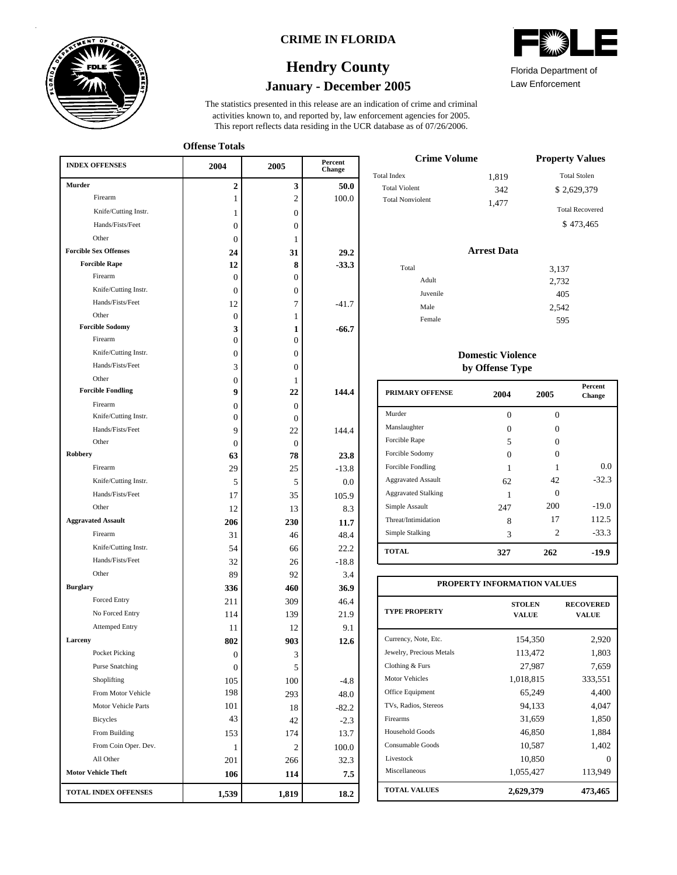

### **CRIME IN FLORIDA**

# **January - December 2005 Hendry County**



**Offense Totals**

| <b>INDEX OFFENSES</b>        | 2004           | 2005           | Percent<br>Change |
|------------------------------|----------------|----------------|-------------------|
| <b>Murder</b>                | 2              | 3              | 50.0              |
| Firearm                      | 1              | $\overline{2}$ | 100.0             |
| Knife/Cutting Instr.         | 1              | $\overline{0}$ |                   |
| Hands/Fists/Feet             | 0              | $\overline{0}$ |                   |
| Other                        | 0              | 1              |                   |
| <b>Forcible Sex Offenses</b> | 24             | 31             | 29.2              |
| <b>Forcible Rape</b>         | 12             | 8              | $-33.3$           |
| Firearm                      | 0              | 0              |                   |
| Knife/Cutting Instr.         | 0              | 0              |                   |
| Hands/Fists/Feet             | 12             | 7              | $-41.7$           |
| Other                        | $\mathbf{0}$   | 1              |                   |
| <b>Forcible Sodomy</b>       | 3              | 1              | $-66.7$           |
| Firearm                      | 0              | $\overline{0}$ |                   |
| Knife/Cutting Instr.         | 0              | $\overline{0}$ |                   |
| Hands/Fists/Feet             | 3              | $\overline{0}$ |                   |
| Other                        | $\overline{0}$ | 1              |                   |
| <b>Forcible Fondling</b>     | 9              | 22             | 144.4             |
| Firearm                      | $\mathbf{0}$   | $\mathbf{0}$   |                   |
| Knife/Cutting Instr.         | 0              | $\overline{0}$ |                   |
| Hands/Fists/Feet             | 9              | 22             | 144.4             |
| Other                        | $\Omega$       | $\Omega$       |                   |
| <b>Robbery</b>               | 63             | 78             | 23.8              |
| Firearm                      | 29             | 25             | $-13.8$           |
| Knife/Cutting Instr.         | 5              | 5              | 0.0               |
| Hands/Fists/Feet             | 17             | 35             | 105.9             |
| Other                        | 12             | 13             | 8.3               |
| <b>Aggravated Assault</b>    | 206            | 230            | 11.7              |
| Firearm                      | 31             | 46             | 48.4              |
| Knife/Cutting Instr.         | 54             | 66             | 22.2              |
| Hands/Fists/Feet             | 32             | 26             | $-18.8$           |
| Other                        | 89             | 92             | 3.4               |
| <b>Burglary</b>              | 336            | 460            | 36.9              |
| Forced Entry                 | 211            | 309            | 46.4              |
| No Forced Entry              | 114            | 139            | 21.9              |
| <b>Attemped Entry</b>        | 11             | 12             | 9.1               |
| Larceny                      | 802            | 903            | 12.6              |
| Pocket Picking               | 0              | 3              |                   |
| <b>Purse Snatching</b>       | 0              | 5              |                   |
| Shoplifting                  | 105            | 100            | $-4.8$            |
| From Motor Vehicle           | 198            | 293            | 48.0              |
| Motor Vehicle Parts          | 101            | 18             | $-82.2$           |
| Bicycles                     | 43             | 42             | $-2.3$            |
| From Building                | 153            | 174            | 13.7              |
| From Coin Oper. Dev.         | 1              | 2              | 100.0             |
| All Other                    | 201            | 266            | 32.3              |
| <b>Motor Vehicle Theft</b>   | 106            | 114            | 7.5               |
| <b>TOTAL INDEX OFFENSES</b>  | 1,539          | 1,819          | 18.2              |

| $\mathbb{Z}$<br>نست   |  |
|-----------------------|--|
| Elorida Donartmont of |  |

Law Enforcement Florida Department of

| <b>Crime Volume</b>     | <b>Property Values</b> |                        |
|-------------------------|------------------------|------------------------|
| Total Index             | 1,819                  | <b>Total Stolen</b>    |
| <b>Total Violent</b>    | 342                    | \$2,629,379            |
| <b>Total Nonviolent</b> | 1.477                  | <b>Total Recovered</b> |
|                         |                        | \$473,465              |

### **Arrest Data**

| Total    | 3,137 |
|----------|-------|
| Adult    | 2,732 |
| Juvenile | 405   |
| Male     | 2,542 |
| Female   | 595   |
|          |       |

### **Domestic Violence by Offense Type**

| <b>PRIMARY OFFENSE</b>     | 2004 | 2005           | <b>Percent</b><br>Change |
|----------------------------|------|----------------|--------------------------|
| Murder                     | 0    | $\Omega$       |                          |
| Manslaughter               | 0    | 0              |                          |
| Forcible Rape              | 5    | Ω              |                          |
| Forcible Sodomy            | 0    | 0              |                          |
| Forcible Fondling          | 1    |                | 0.0                      |
| <b>Aggravated Assault</b>  | 62   | 42             | $-32.3$                  |
| <b>Aggravated Stalking</b> |      | 0              |                          |
| Simple Assault             | 247  | 200            | $-19.0$                  |
| Threat/Intimidation        | 8    | 17             | 112.5                    |
| Simple Stalking            | 3    | $\mathfrak{D}$ | $-33.3$                  |
| <b>TOTAL</b>               | 327  | 262            | -19.9                    |

| PROPERTY INFORMATION VALUES |                               |                                  |  |  |  |  |
|-----------------------------|-------------------------------|----------------------------------|--|--|--|--|
| <b>TYPE PROPERTY</b>        | <b>STOLEN</b><br><b>VALUE</b> | <b>RECOVERED</b><br><b>VALUE</b> |  |  |  |  |
| Currency, Note, Etc.        | 154,350                       | 2,920                            |  |  |  |  |
| Jewelry, Precious Metals    | 113,472                       | 1,803                            |  |  |  |  |
| Clothing & Furs             | 27,987                        | 7,659                            |  |  |  |  |
| <b>Motor Vehicles</b>       | 1,018,815                     | 333,551                          |  |  |  |  |
| Office Equipment            | 65,249                        | 4,400                            |  |  |  |  |
| TVs, Radios, Stereos        | 94,133                        | 4,047                            |  |  |  |  |
| Firearms                    | 31,659                        | 1,850                            |  |  |  |  |
| Household Goods             | 46,850                        | 1,884                            |  |  |  |  |
| Consumable Goods            | 10,587                        | 1,402                            |  |  |  |  |
| Livestock                   | 10,850                        | 0                                |  |  |  |  |
| Miscellaneous               | 1,055,427                     | 113,949                          |  |  |  |  |
| <b>TOTAL VALUES</b>         | 2,629,379                     | 473,465                          |  |  |  |  |